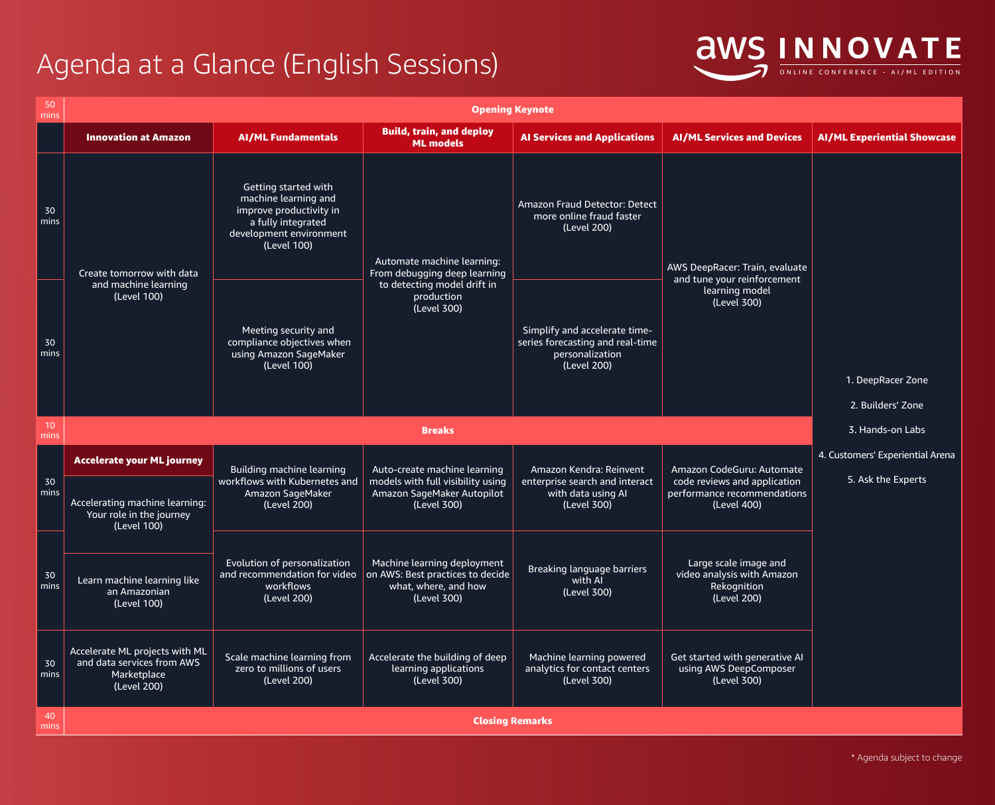\* Agenda subject to change

## Agenda at a Glance (English Sessions) **OWS INNOVATE**

| 50<br>mins            | <b>Opening Keynote</b>                                                                     |                                                                                                                                                |                                                                                                                |                                                                                                     |                                                                                                         |                                    |  |  |  |
|-----------------------|--------------------------------------------------------------------------------------------|------------------------------------------------------------------------------------------------------------------------------------------------|----------------------------------------------------------------------------------------------------------------|-----------------------------------------------------------------------------------------------------|---------------------------------------------------------------------------------------------------------|------------------------------------|--|--|--|
|                       | <b>Innovation at Amazon</b>                                                                | <b>AI/ML Fundamentals</b>                                                                                                                      | <b>Build, train, and deploy</b><br><b>ML models</b>                                                            | <b>Al Services and Applications</b>                                                                 | <b>AI/ML Services and Devices</b>                                                                       | <b>AI/ML Experiential Showcase</b> |  |  |  |
| 30<br>mins            | Create tomorrow with data                                                                  | <b>Getting started with</b><br>machine learning and<br>improve productivity in<br>a fully integrated<br>development environment<br>(Level 100) | Automate machine learning:<br>From debugging deep learning                                                     | <b>Amazon Fraud Detector: Detect</b><br>more online fraud faster<br>(Level 200)                     | AWS DeepRacer: Train, evaluate<br>and tune your reinforcement<br>learning model<br>(Level 300)          |                                    |  |  |  |
| 30<br>mins            | and machine learning<br>(Level 100)                                                        | Meeting security and<br>compliance objectives when<br>using Amazon SageMaker<br>(Level 100)                                                    | to detecting model drift in<br>production<br>(Level 300)                                                       | Simplify and accelerate time-<br>series forecasting and real-time<br>personalization<br>(Level 200) |                                                                                                         |                                    |  |  |  |
|                       |                                                                                            |                                                                                                                                                |                                                                                                                |                                                                                                     |                                                                                                         | 1. DeepRacer Zone                  |  |  |  |
|                       |                                                                                            |                                                                                                                                                |                                                                                                                |                                                                                                     |                                                                                                         | 2. Builders' Zone                  |  |  |  |
| 10<br>mins            |                                                                                            |                                                                                                                                                | <b>Breaks</b>                                                                                                  |                                                                                                     |                                                                                                         | 3. Hands-on Labs                   |  |  |  |
| 30<br>mins            | <b>Accelerate your ML journey</b>                                                          | Building machine learning<br>workflows with Kubernetes and<br><b>Amazon SageMaker</b><br>(Level 200)                                           | Auto-create machine learning<br>models with full visibility using<br>Amazon SageMaker Autopilot<br>(Level 300) | Amazon Kendra: Reinvent<br>enterprise search and interact<br>with data using Al<br>(Level 300)      | Amazon CodeGuru: Automate<br>code reviews and application<br>performance recommendations<br>(Level 400) | 4. Customers' Experiential Arena   |  |  |  |
|                       | Accelerating machine learning:<br>Your role in the journey<br>(Level 100)                  |                                                                                                                                                |                                                                                                                |                                                                                                     |                                                                                                         | 5. Ask the Experts                 |  |  |  |
| 30<br>mins            | Learn machine learning like<br>an Amazonian<br>(Level 100)                                 | Evolution of personalization<br>and recommendation for video<br>workflows<br>(Level 200)                                                       | Machine learning deployment<br>on AWS: Best practices to decide<br>what, where, and how<br>(Level 300)         | <b>Breaking language barriers</b><br>with Al<br>(Level 300)                                         | Large scale image and<br>video analysis with Amazon<br>Rekognition<br>(Level 200)                       |                                    |  |  |  |
| 30<br>$\mathsf{mins}$ | Accelerate ML projects with ML<br>and data services from AWS<br>Marketplace<br>(Level 200) | Scale machine learning from<br>zero to millions of users<br>(Level 200)                                                                        | Accelerate the building of deep<br>learning applications<br>(Level 300)                                        | Machine learning powered<br>analytics for contact centers<br>(Level 300)                            | Get started with generative AI<br>using AWS DeepComposer<br>(Level 300)                                 |                                    |  |  |  |
| 40<br>mins            | <b>Closing Remarks</b>                                                                     |                                                                                                                                                |                                                                                                                |                                                                                                     |                                                                                                         |                                    |  |  |  |



## pRacer Zone ilders' Zone nds-on Labs ' Experiential Arena